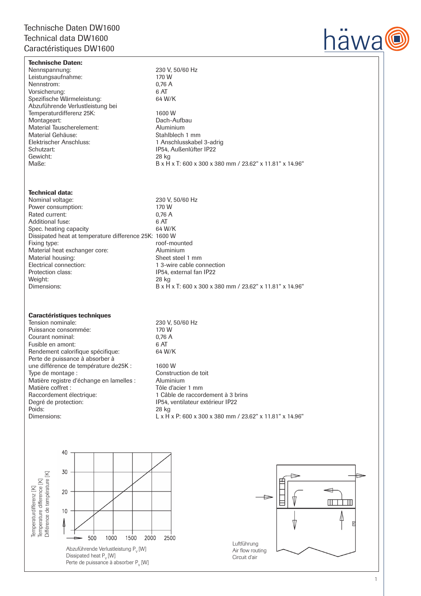# Technische Daten DW1600 Technical data DW1600 Caractéristiques DW1600

Technische Daten:

Spezifische Wärmeleistung: Abzuführende Verlustleistung bei

Material Gehäuse:<br>Elektrischer Anschluss:



Nennspannung: 230 V, 50/60 Hz Leistungsaufnahme: 170 W<br>Nennstrom: 176 A Nennstrom: 0,76<br>Vorsicherung: 6 AT Vorsicherung: 6 AT<br>Spezifische Wärmeleistung: 64 M/K Temperaturdifferenz 25K: 1600 W<br>Montageart: 1600 W Dach-Aufbau<br>Aluminium Material Tauscherelement: <br>
Material Gehäuse: 
Material Gehäuse: 
Stahlblech 1 mm 1 Anschlusskabel 3-adrig Schutzart: IP54, Außenlüfter IP22 Gewicht: 28 kg Maße: B x H x T: 600 x 300 x 380 mm / 23.62" x 11.81" x 14.96"

## Technical data:

Nominal voltage: 230 V, 50/60 Hz<br>Power consumption: 230 V, 50/60 Hz Power consumption: 170 W<br>Rated current: 0.76 A Rated current: 0,76<br>Additional fuse: 6 AT Additional fuse: 6 AT<br>
Spec. heating capacity 64 W/K Spec. heating capacity Dissipated heat at temperature difference 25K: 1600 W roof-mounted<br>Aluminium Material heat exchanger core: <br>
Material housing: Sheet steel 1 mm Material housing:<br>Electrical connection: 1 3-wire cable connection Protection class: IP54, external fan IP22 Weight: 28 kg<br>Dimensions: 28 kg<br>B x H B x H x T: 600 x 300 x 380 mm / 23.62" x 11.81" x 14.96"

## Caractéristiques techniques

Tension nominale:<br>
Puissance consommée: 230 V, 50/60 Hz<br>
230 V V Puissance consommée: 170 W<br>Courant nominal: 0.76 A Courant nominal: 0,76<br>
Fusible en amont: 6 AT Fusible en amont: 6 AT<br>Rendement calorifique spécifique: 64 W/K Rendement calorifique spécifique: Perte de puissance à absorber à une différence de température de25K : 1600 W<br>Type de montage : 1600 Construction de toit Type de montage : Matière registre d'échange en lamelles : Aluminium Matière coffret :<br>
Raccordement électrique:<br>
1 Câble de raccord Raccordement électrique: 1 Câble de raccordement à 3 brins<br>
Degré de protection: 1 1 P54, ventilateur extérieur<br>
1 P54, ventilateur extérieur<br>
1 P54, ventilateur extérieur<br>
1 P54, ventilateur extérieur<br>
1 P54, ventilateur Degré de protection:<br>
P54, ventilateur extérieur IP22<br>
Poids:<br>
28 kg<br>
28 kg Poids: 28 kg

Dimensions: L x H x P: 600 x 300 x 380 mm / 23.62" x 11.81" x 14.96"